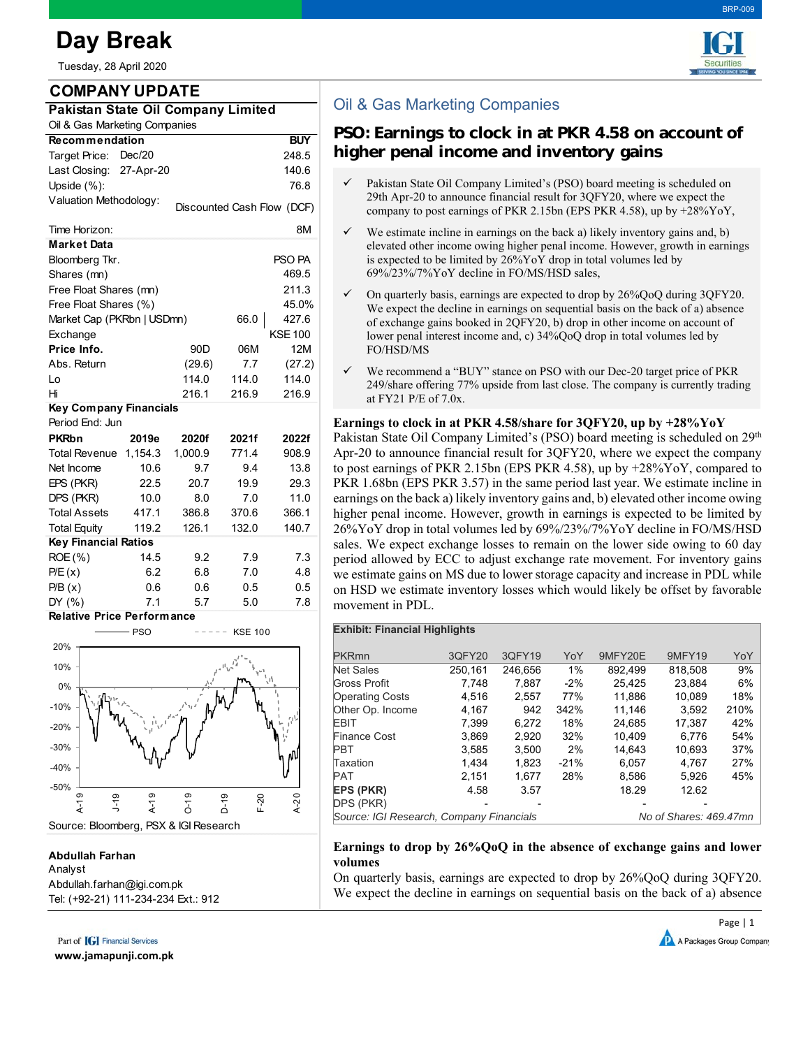# **Day Break**

Tuesday, 28 April 2020

# **COMPANY UPDATE**

| Pakistan State Oil Company Limited |  |
|------------------------------------|--|
| Oil & Gas Marketing Companies      |  |

| <b>Recommendation</b>           |           |                 |                            | <b>BUY</b>     |  |  |  |  |  |
|---------------------------------|-----------|-----------------|----------------------------|----------------|--|--|--|--|--|
| Target Price:                   | Dec/20    |                 |                            | 248.5          |  |  |  |  |  |
| Last Closing:                   | 27-Apr-20 |                 |                            | 140.6          |  |  |  |  |  |
| Upside $(\%)$ :                 |           |                 |                            | 76.8           |  |  |  |  |  |
| Valuation Methodology:          |           |                 | Discounted Cash Flow (DCF) |                |  |  |  |  |  |
|                                 |           |                 |                            |                |  |  |  |  |  |
| Time Horizon:                   |           |                 |                            | 8M             |  |  |  |  |  |
| <b>Market Data</b>              |           |                 |                            |                |  |  |  |  |  |
| PSO PA<br>Bloomberg Tkr.        |           |                 |                            |                |  |  |  |  |  |
| Shares (mn)                     |           | 469.5           |                            |                |  |  |  |  |  |
| Free Float Shares (mn)<br>211.3 |           |                 |                            |                |  |  |  |  |  |
| Free Float Shares (%)<br>45.0%  |           |                 |                            |                |  |  |  |  |  |
| Market Cap (PKRbn   USDmn)      |           |                 | 66.0                       | 427.6          |  |  |  |  |  |
| Exchange                        |           |                 |                            | <b>KSE 100</b> |  |  |  |  |  |
| Price Info.                     |           | 90 <sub>D</sub> | 06M                        | 12M            |  |  |  |  |  |
| Abs. Return                     |           | (29.6)          | 7.7                        | (27.2)         |  |  |  |  |  |
| Lo                              |           | 114.0           | 114.0                      | 114.0          |  |  |  |  |  |
| Hi                              |           | 216.1           | 216.9                      | 216.9          |  |  |  |  |  |
| <b>Key Company Financials</b>   |           |                 |                            |                |  |  |  |  |  |
| Period End: Jun                 |           |                 |                            |                |  |  |  |  |  |
| <b>PKRbn</b>                    | 2019e     | 2020f           | 2021f                      | 2022f          |  |  |  |  |  |
| <b>Total Revenue</b>            | 1,154.3   | 1,000.9         | 771.4                      | 908.9          |  |  |  |  |  |
| Net Income                      | 10.6      | 9.7             | 9.4                        | 13.8           |  |  |  |  |  |
| EPS (PKR)                       | 22.5      | 20.7            | 19.9                       | 29.3           |  |  |  |  |  |
| DPS (PKR)                       | 10.0      | 8.0             | 7.0                        | 11.0           |  |  |  |  |  |
| <b>Total Assets</b>             | 417.1     | 386.8           | 370.6                      | 366.1          |  |  |  |  |  |
| <b>Total Equity</b>             | 119.2     | 126.1           | 132.0                      | 140.7          |  |  |  |  |  |
| <b>Key Financial Ratios</b>     |           |                 |                            |                |  |  |  |  |  |
| $ROE(\% )$                      | 14.5      | 9.2             | 7.9                        | 7.3            |  |  |  |  |  |
| P/E(x)                          | 6.2       | 6.8             | 7.0                        | 4.8            |  |  |  |  |  |
| P/B(x)                          | 0.6       | 0.6             | 0.5                        | 0.5            |  |  |  |  |  |
| DY (%)                          | 7.1       | 5.7             | 5.0                        | 7.8            |  |  |  |  |  |

#### **Relative Price Performance**



## **Abdullah Farhan**

#### Analyst Abdullah.farhan@igi.com.pk Tel: (+92-21) 111-234-234 Ext.: 912

Part of **[G]** Financial Services

**www.jamapunji.com.pk**



BRP-009

# Oil & Gas Marketing Companies

# **PSO: Earnings to clock in at PKR 4.58 on account of higher penal income and inventory gains**

- Pakistan State Oil Company Limited's (PSO) board meeting is scheduled on 29th Apr-20 to announce financial result for 3QFY20, where we expect the company to post earnings of PKR 2.15bn (EPS PKR 4.58), up by +28%YoY,
- We estimate incline in earnings on the back a) likely inventory gains and, b) elevated other income owing higher penal income. However, growth in earnings is expected to be limited by 26%YoY drop in total volumes led by 69%/23%/7%YoY decline in FO/MS/HSD sales,
- On quarterly basis, earnings are expected to drop by 26%QoQ during 3QFY20. We expect the decline in earnings on sequential basis on the back of a) absence of exchange gains booked in 2QFY20, b) drop in other income on account of lower penal interest income and, c) 34%QoQ drop in total volumes led by FO/HSD/MS
- We recommend a "BUY" stance on PSO with our Dec-20 target price of PKR 249/share offering 77% upside from last close. The company is currently trading at FY21 P/E of 7.0x.

### **Earnings to clock in at PKR 4.58/share for 3QFY20, up by +28%YoY**

Pakistan State Oil Company Limited's (PSO) board meeting is scheduled on 29<sup>th</sup> Apr-20 to announce financial result for 3QFY20, where we expect the company to post earnings of PKR 2.15bn (EPS PKR 4.58), up by  $+28\%$ YoY, compared to PKR 1.68bn (EPS PKR 3.57) in the same period last year. We estimate incline in earnings on the back a) likely inventory gains and, b) elevated other income owing higher penal income. However, growth in earnings is expected to be limited by 26%YoY drop in total volumes led by 69%/23%/7%YoY decline in FO/MS/HSD sales. We expect exchange losses to remain on the lower side owing to 60 day period allowed by ECC to adjust exchange rate movement. For inventory gains we estimate gains on MS due to lower storage capacity and increase in PDL while on HSD we estimate inventory losses which would likely be offset by favorable movement in PDL.

#### **Exhibit: Financial Highlights**

| <b>PKRmn</b>                             | 3QFY20  | 3QFY19  | YoY                    | 9MFY20E | <b>9MFY19</b> | YoY  |
|------------------------------------------|---------|---------|------------------------|---------|---------------|------|
| <b>Net Sales</b>                         | 250,161 | 246,656 | 1%                     | 892.499 | 818.508       | 9%   |
| Gross Profit                             | 7.748   | 7.887   | $-2%$                  | 25.425  | 23.884        | 6%   |
| <b>Operating Costs</b>                   | 4.516   | 2.557   | 77%                    | 11.886  | 10.089        | 18%  |
| Other Op. Income                         | 4.167   | 942     | 342%                   | 11.146  | 3,592         | 210% |
| EBIT                                     | 7.399   | 6.272   | 18%                    | 24.685  | 17.387        | 42%  |
| Finance Cost                             | 3,869   | 2.920   | 32%                    | 10.409  | 6.776         | 54%  |
| PBT                                      | 3.585   | 3.500   | 2%                     | 14.643  | 10.693        | 37%  |
| Taxation                                 | 1.434   | 1.823   | $-21%$                 | 6.057   | 4.767         | 27%  |
| PAT                                      | 2.151   | 1.677   | 28%                    | 8.586   | 5.926         | 45%  |
| <b>EPS (PKR)</b>                         | 4.58    | 3.57    |                        | 18.29   | 12.62         |      |
| DPS (PKR)                                |         |         |                        |         |               |      |
| Source: IGI Research, Company Financials |         |         | No of Shares: 469.47mn |         |               |      |

### **Earnings to drop by 26%QoQ in the absence of exchange gains and lower volumes**

On quarterly basis, earnings are expected to drop by 26%QoQ during 3QFY20. We expect the decline in earnings on sequential basis on the back of a) absence